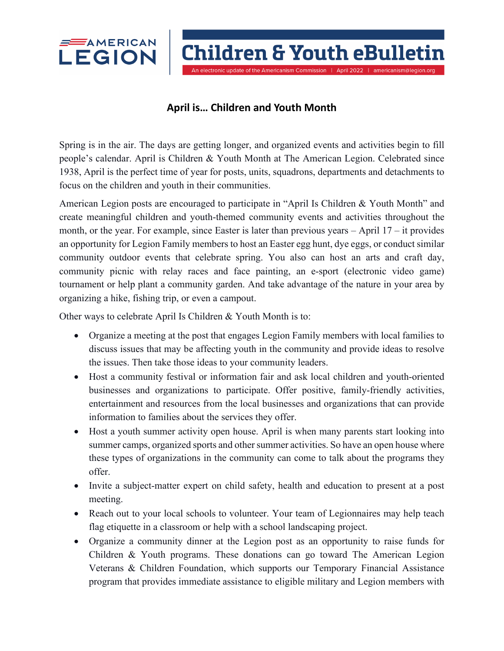

**Children & Youth eBulletin** 

An electronic update of the Americanism Commission | April 2022 | americanism@legion.org

## **April is… Children and Youth Month**

Spring is in the air. The days are getting longer, and organized events and activities begin to fill people's calendar. April is Children & Youth Month at The American Legion. Celebrated since 1938, April is the perfect time of year for posts, units, squadrons, departments and detachments to focus on the children and youth in their communities.

American Legion posts are encouraged to participate in "April Is Children & Youth Month" and create meaningful children and youth-themed community events and activities throughout the month, or the year. For example, since Easter is later than previous years – April 17 – it provides an opportunity for Legion Family members to host an Easter egg hunt, dye eggs, or conduct similar community outdoor events that celebrate spring. You also can host an arts and craft day, community picnic with relay races and face painting, an e-sport (electronic video game) tournament or help plant a community garden. And take advantage of the nature in your area by organizing a hike, fishing trip, or even a campout.

Other ways to celebrate April Is Children & Youth Month is to:

- Organize a meeting at the post that engages Legion Family members with local families to discuss issues that may be affecting youth in the community and provide ideas to resolve the issues. Then take those ideas to your community leaders.
- Host a community festival or information fair and ask local children and youth-oriented businesses and organizations to participate. Offer positive, family-friendly activities, entertainment and resources from the local businesses and organizations that can provide information to families about the services they offer.
- Host a youth summer activity open house. April is when many parents start looking into summer camps, organized sports and other summer activities. So have an open house where these types of organizations in the community can come to talk about the programs they offer.
- Invite a subject-matter expert on child safety, health and education to present at a post meeting.
- Reach out to your local schools to volunteer. Your team of Legionnaires may help teach flag etiquette in a classroom or help with a school landscaping project.
- Organize a community dinner at the Legion post as an opportunity to raise funds for Children & Youth programs. These donations can go toward The American Legion Veterans & Children Foundation, which supports our Temporary Financial Assistance program that provides immediate assistance to eligible military and Legion members with